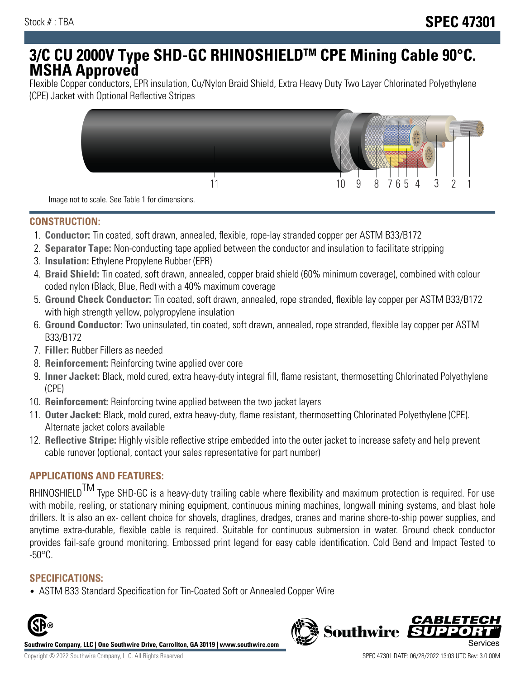# **3/C CU 2000V Type SHD-GC RHINOSHIELDTM CPE Mining Cable 90°C. MSHA Approved**

Flexible Copper conductors, EPR insulation, Cu/Nylon Braid Shield, Extra Heavy Duty Two Layer Chlorinated Polyethylene (CPE) Jacket with Optional Reflective Stripes



Image not to scale. See Table 1 for dimensions.

## **CONSTRUCTION:**

- 1. **Conductor:** Tin coated, soft drawn, annealed, flexible, rope-lay stranded copper per ASTM B33/B172
- 2. **Separator Tape:** Non-conducting tape applied between the conductor and insulation to facilitate stripping
- 3. **Insulation:** Ethylene Propylene Rubber (EPR)
- 4. **Braid Shield:** Tin coated, soft drawn, annealed, copper braid shield (60% minimum coverage), combined with colour coded nylon (Black, Blue, Red) with a 40% maximum coverage
- 5. **Ground Check Conductor:** Tin coated, soft drawn, annealed, rope stranded, flexible lay copper per ASTM B33/B172 with high strength yellow, polypropylene insulation
- 6. **Ground Conductor:** Two uninsulated, tin coated, soft drawn, annealed, rope stranded, flexible lay copper per ASTM B33/B172
- 7. **Filler:** Rubber Fillers as needed
- 8. **Reinforcement:** Reinforcing twine applied over core
- 9. **Inner Jacket:** Black, mold cured, extra heavy-duty integral fill, flame resistant, thermosetting Chlorinated Polyethylene (CPE)
- 10. **Reinforcement:** Reinforcing twine applied between the two jacket layers
- 11. **Outer Jacket:** Black, mold cured, extra heavy-duty, flame resistant, thermosetting Chlorinated Polyethylene (CPE). Alternate jacket colors available
- 12. **Reflective Stripe:** Highly visible reflective stripe embedded into the outer jacket to increase safety and help prevent cable runover (optional, contact your sales representative for part number)

# **APPLICATIONS AND FEATURES:**

RHINOSHIELD<sup>TM</sup> Type SHD-GC is a heavy-duty trailing cable where flexibility and maximum protection is required. For use with mobile, reeling, or stationary mining equipment, continuous mining machines, longwall mining systems, and blast hole drillers. It is also an ex- cellent choice for shovels, draglines, dredges, cranes and marine shore-to-ship power supplies, and anytime extra-durable, flexible cable is required. Suitable for continuous submersion in water. Ground check conductor provides fail-safe ground monitoring. Embossed print legend for easy cable identification. Cold Bend and Impact Tested to -50°C.

#### **SPECIFICATIONS:**

• ASTM B33 Standard Specification for Tin-Coated Soft or Annealed Copper Wire



**Southwire Company, LLC | One Southwire Drive, Carrollton, GA 30119 | www.southwire.com**

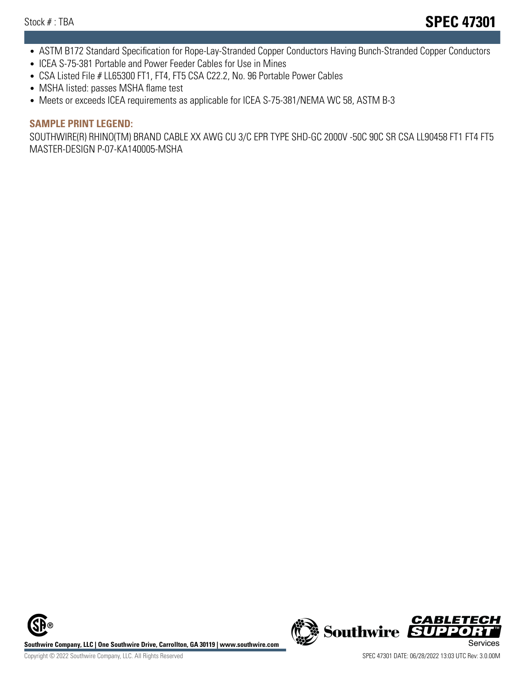- ASTM B172 Standard Specification for Rope-Lay-Stranded Copper Conductors Having Bunch-Stranded Copper Conductors
- ICEA S-75-381 Portable and Power Feeder Cables for Use in Mines
- CSA Listed File # LL65300 FT1, FT4, FT5 CSA C22.2, No. 96 Portable Power Cables
- MSHA listed: passes MSHA flame test
- Meets or exceeds ICEA requirements as applicable for ICEA S-75-381/NEMA WC 58, ASTM B-3

#### **SAMPLE PRINT LEGEND:**

SOUTHWIRE(R) RHINO(TM) BRAND CABLE XX AWG CU 3/C EPR TYPE SHD-GC 2000V -50C 90C SR CSA LL90458 FT1 FT4 FT5 MASTER-DESIGN P-07-KA140005-MSHA